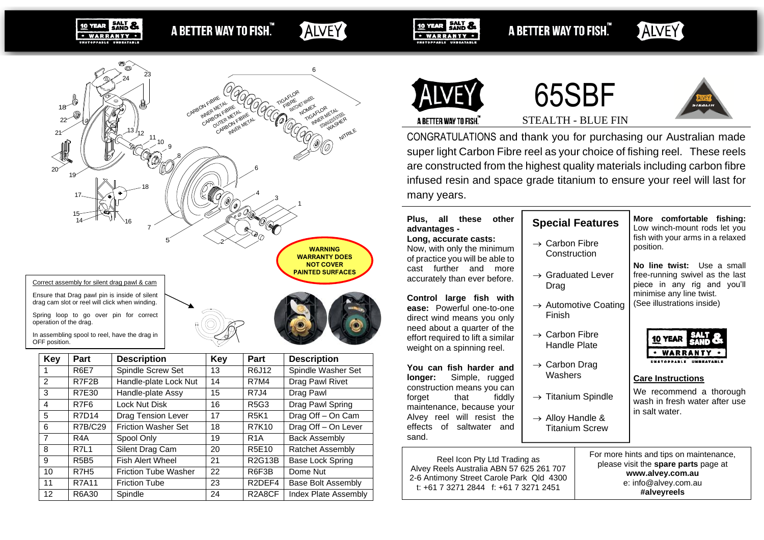A BETTER WAY TO FISH."

**SALT &** 

· WARRANTY ·

10 YEAR

## **ALVEY**

SALT & **10 YEAR** · WARRANTY · A BETTER WAY TO FISH."

# ALVEY



drag cam slot or reel will click when winding.

Spring loop to go over pin for correct operation of the drag.

In assembling spool to reel, have the drag in

| OFF position.   |                  |                             |     |                                 |                         |  |
|-----------------|------------------|-----------------------------|-----|---------------------------------|-------------------------|--|
| Key             | Part             | <b>Description</b>          | Key | Part                            | <b>Description</b>      |  |
|                 | <b>R6E7</b>      | Spindle Screw Set           | 13  | R6J12                           | Spindle Washer Set      |  |
| 2               | R7F2B            | Handle-plate Lock Nut       | 14  | <b>R7M4</b>                     | Drag Pawl Rivet         |  |
| 3               | R7E30            | Handle-plate Assy           | 15  | R7J4                            | Drag Pawl               |  |
| 4               | R7F <sub>6</sub> | Lock Nut Disk               | 16  | R5G3                            | Drag Pawl Spring        |  |
| 5               | R7D14            | <b>Drag Tension Lever</b>   | 17  | <b>R5K1</b>                     | Drag Off - On Cam       |  |
| 6               | <b>R7B/C29</b>   | <b>Friction Washer Set</b>  | 18  | <b>R7K10</b>                    | Drag Off - On Lever     |  |
| 7               | R4A              | Spool Only                  | 19  | R <sub>1</sub> A                | <b>Back Assembly</b>    |  |
| 8               | <b>R7L1</b>      | Silent Drag Cam             | 20  | <b>R5E10</b>                    | <b>Ratchet Assembly</b> |  |
| 9               | <b>R5B5</b>      | Fish Alert Wheel            | 21  | R2G13B                          | Base Lock Spring        |  |
| 10              | R7H <sub>5</sub> | <b>Friction Tube Washer</b> | 22  | R6F3B                           | Dome Nut                |  |
| 11              | <b>R7A11</b>     | <b>Friction Tube</b>        | 23  | R <sub>2</sub> DEF <sub>4</sub> | Base Bolt Assembly      |  |
| 12 <sup>2</sup> | R6A30            | Spindle                     | 24  | R2A8CF                          | Index Plate Assembly    |  |







A BETTER WAY TO FISH.

STEALTH - BLUE FIN

CONGRATULATIONS and thank you for purchasing our Australian made super light Carbon Fibre reel as your choice of fishing reel. These reels are constructed from the highest quality materials including carbon fibre infused resin and space grade titanium to ensure your reel will last for many years.

### **Plus, all these other advantages -**

**Long, accurate casts:** Now, with only the minimum of practice you will be able to cast further and more accurately than ever before.

**Control large fish with ease:** Powerful one-to-one direct wind means you only need about a quarter of the effort required to lift a similar weight on a spinning reel.

**You can fish harder and longer:** Simple, rugged construction means you can forget that fiddly maintenance, because your Alvey reel will resist the effects of saltwater and sand.

Reel Icon Pty Ltd Trading as Alvey Reels Australia ABN 57 625 261 707 2-6 Antimony Street Carole Park Qld 4300 t: +61 7 3271 2844 f: +61 7 3271 2451

## **Special Features**

- $\rightarrow$  Carbon Fibre Construction
- → Graduated Lever Drag
- $\rightarrow$  Automotive Coating Finish
- $\rightarrow$  Carbon Fibre Handle Plate
- $\rightarrow$  Carbon Drag **Washers**
- $\rightarrow$  Titanium Spindle
- $\rightarrow$  Alloy Handle & Titanium Screw

**More comfortable fishing:** Low winch-mount rods let you fish with your arms in a relaxed position.

**No line twist:** Use a small free-running swivel as the last piece in any rig and you'll minimise any line twist. (See illustrations inside)



#### **Care Instructions**

We recommend a thorough wash in fresh water after use in salt water.

For more hints and tips on maintenance, please visit the **spare parts** page at **www.alvey.com.au** e: info@alvey.com.au **#alveyreels**